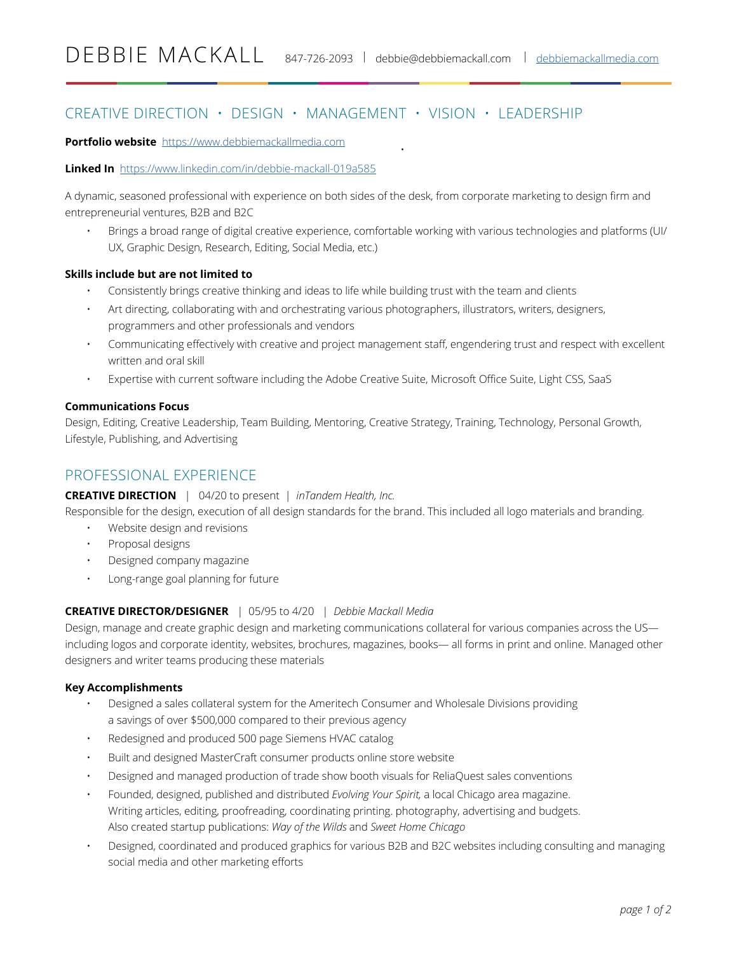# CREATIVE DIRECTION • DESIGN • MANAGEMENT • VISION • LEADERSHIP

#### **Portfolio website** https://www.[debbiemackallmedia.com](http://debbiemackallmedia.com)

#### **Linked In** https://www.linkedin.com/in/debbie-mackall-019a585

A dynamic, seasoned professional with experience on both sides of the desk, from corporate marketing to design firm and entrepreneurial ventures, B2B and B2C

• Brings a broad range of digital creative experience, comfortable working with various technologies and platforms (UI/ UX, Graphic Design, Research, Editing, Social Media, etc.)

•

#### **Skills include but are not limited to**

- Consistently brings creative thinking and ideas to life while building trust with the team and clients
- Art directing, collaborating with and orchestrating various photographers, illustrators, writers, designers, programmers and other professionals and vendors
- Communicating effectively with creative and project management staff, engendering trust and respect with excellent written and oral skill
- Expertise with current software including the Adobe Creative Suite, Microsoft Office Suite, Light CSS, SaaS

#### **Communications Focus**

Design, Editing, Creative Leadership, Team Building, Mentoring, Creative Strategy, Training, Technology, Personal Growth, Lifestyle, Publishing, and Advertising

## PROFESSIONAL EXPERIENCE

#### **CREATIVE DIRECTION** | 04/20 to present | *inTandem Health, Inc.*

Responsible for the design, execution of all design standards for the brand. This included all logo materials and branding.

- Website design and revisions
- Proposal designs
- Designed company magazine
- Long-range goal planning for future

#### **CREATIVE DIRECTOR/DESIGNER** | 05/95 to 4/20 | *Debbie Mackall Media*

Design, manage and create graphic design and marketing communications collateral for various companies across the US including logos and corporate identity, websites, brochures, magazines, books— all forms in print and online. Managed other designers and writer teams producing these materials

#### **Key Accomplishments**

- Designed a sales collateral system for the Ameritech Consumer and Wholesale Divisions providing a savings of over \$500,000 compared to their previous agency
- Redesigned and produced 500 page Siemens HVAC catalog
- Built and designed MasterCraft consumer products online store website
- Designed and managed production of trade show booth visuals for ReliaQuest sales conventions
- Founded, designed, published and distributed *Evolving Your Spirit,* a local Chicago area magazine. Writing articles, editing, proofreading, coordinating printing. photography, advertising and budgets. Also created startup publications: *Way of the Wilds* and *Sweet Home Chicago*
- Designed, coordinated and produced graphics for various B2B and B2C websites including consulting and managing social media and other marketing efforts